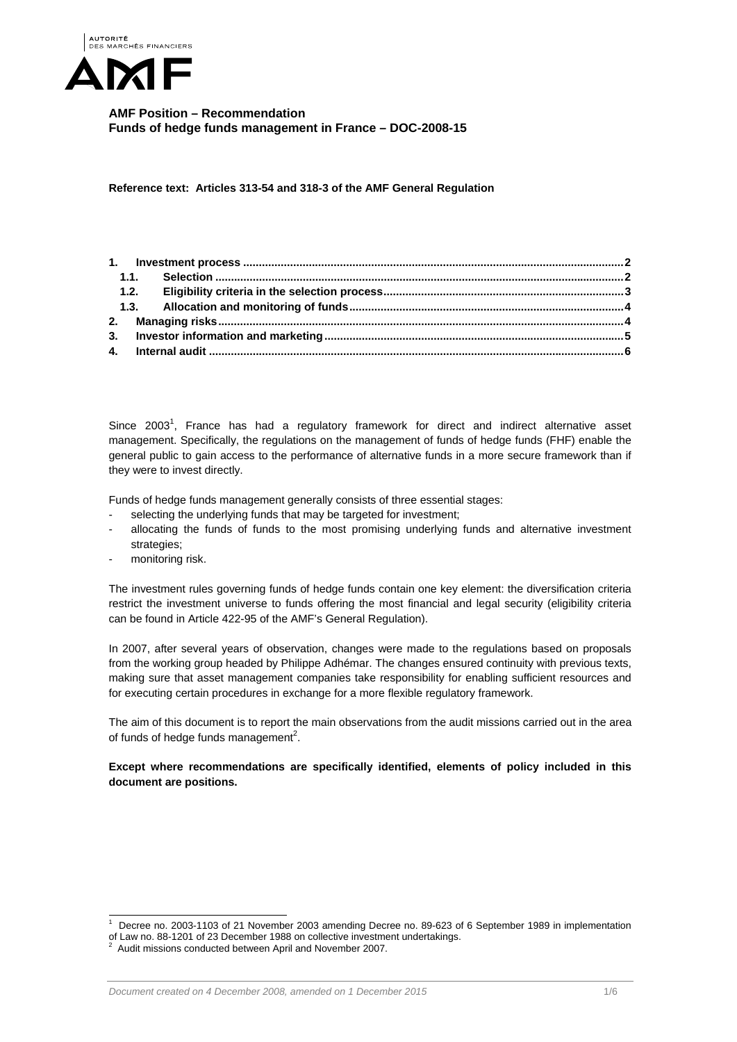

**AMF Position – Recommendation Funds of hedge funds management in France – DOC-2008-15** 

**Reference text: Articles 313-54 and 318-3 of the AMF General Regulation** 

Since 2003<sup>1</sup>, France has had a regulatory framework for direct and indirect alternative asset management. Specifically, the regulations on the management of funds of hedge funds (FHF) enable the general public to gain access to the performance of alternative funds in a more secure framework than if they were to invest directly.

Funds of hedge funds management generally consists of three essential stages:

- selecting the underlying funds that may be targeted for investment;
- allocating the funds of funds to the most promising underlying funds and alternative investment strategies;
- monitoring risk.

 $\overline{a}$ 

The investment rules governing funds of hedge funds contain one key element: the diversification criteria restrict the investment universe to funds offering the most financial and legal security (eligibility criteria can be found in Article 422-95 of the AMF's General Regulation).

In 2007, after several years of observation, changes were made to the regulations based on proposals from the working group headed by Philippe Adhémar. The changes ensured continuity with previous texts, making sure that asset management companies take responsibility for enabling sufficient resources and for executing certain procedures in exchange for a more flexible regulatory framework.

The aim of this document is to report the main observations from the audit missions carried out in the area of funds of hedge funds management<sup>2</sup>.

**Except where recommendations are specifically identified, elements of policy included in this document are positions.** 

<sup>1</sup> Decree no. 2003-1103 of 21 November 2003 amending Decree no. 89-623 of 6 September 1989 in implementation of Law no. 88-1201 of 23 December 1988 on collective investment undertakings.<br><sup>2</sup> Audit mineians conducted between April and November 2007.

Audit missions conducted between April and November 2007.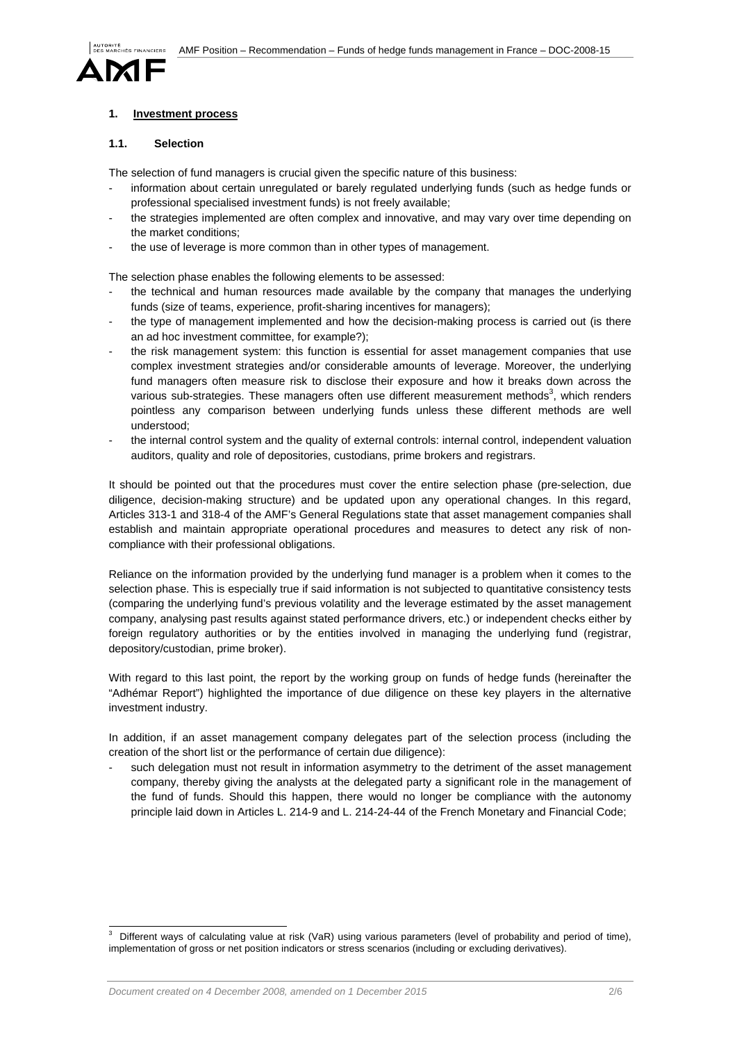

## **1. Investment process**

### **1.1. Selection**

The selection of fund managers is crucial given the specific nature of this business:

- information about certain unregulated or barely regulated underlying funds (such as hedge funds or professional specialised investment funds) is not freely available;
- the strategies implemented are often complex and innovative, and may vary over time depending on the market conditions;
- the use of leverage is more common than in other types of management.

The selection phase enables the following elements to be assessed:

- the technical and human resources made available by the company that manages the underlying funds (size of teams, experience, profit-sharing incentives for managers);
- the type of management implemented and how the decision-making process is carried out (is there an ad hoc investment committee, for example?);
- the risk management system: this function is essential for asset management companies that use complex investment strategies and/or considerable amounts of leverage. Moreover, the underlying fund managers often measure risk to disclose their exposure and how it breaks down across the various sub-strategies. These managers often use different measurement methods<sup>3</sup>, which renders pointless any comparison between underlying funds unless these different methods are well understood;
- the internal control system and the quality of external controls: internal control, independent valuation auditors, quality and role of depositories, custodians, prime brokers and registrars.

It should be pointed out that the procedures must cover the entire selection phase (pre-selection, due diligence, decision-making structure) and be updated upon any operational changes. In this regard, Articles 313-1 and 318-4 of the AMF's General Regulations state that asset management companies shall establish and maintain appropriate operational procedures and measures to detect any risk of noncompliance with their professional obligations.

Reliance on the information provided by the underlying fund manager is a problem when it comes to the selection phase. This is especially true if said information is not subjected to quantitative consistency tests (comparing the underlying fund's previous volatility and the leverage estimated by the asset management company, analysing past results against stated performance drivers, etc.) or independent checks either by foreign regulatory authorities or by the entities involved in managing the underlying fund (registrar, depository/custodian, prime broker).

With regard to this last point, the report by the working group on funds of hedge funds (hereinafter the "Adhémar Report") highlighted the importance of due diligence on these key players in the alternative investment industry.

In addition, if an asset management company delegates part of the selection process (including the creation of the short list or the performance of certain due diligence):

such delegation must not result in information asymmetry to the detriment of the asset management company, thereby giving the analysts at the delegated party a significant role in the management of the fund of funds. Should this happen, there would no longer be compliance with the autonomy principle laid down in Articles L. 214-9 and L. 214-24-44 of the French Monetary and Financial Code;

<sup>-&</sup>lt;br>3 Different ways of calculating value at risk (VaR) using various parameters (level of probability and period of time), implementation of gross or net position indicators or stress scenarios (including or excluding derivatives).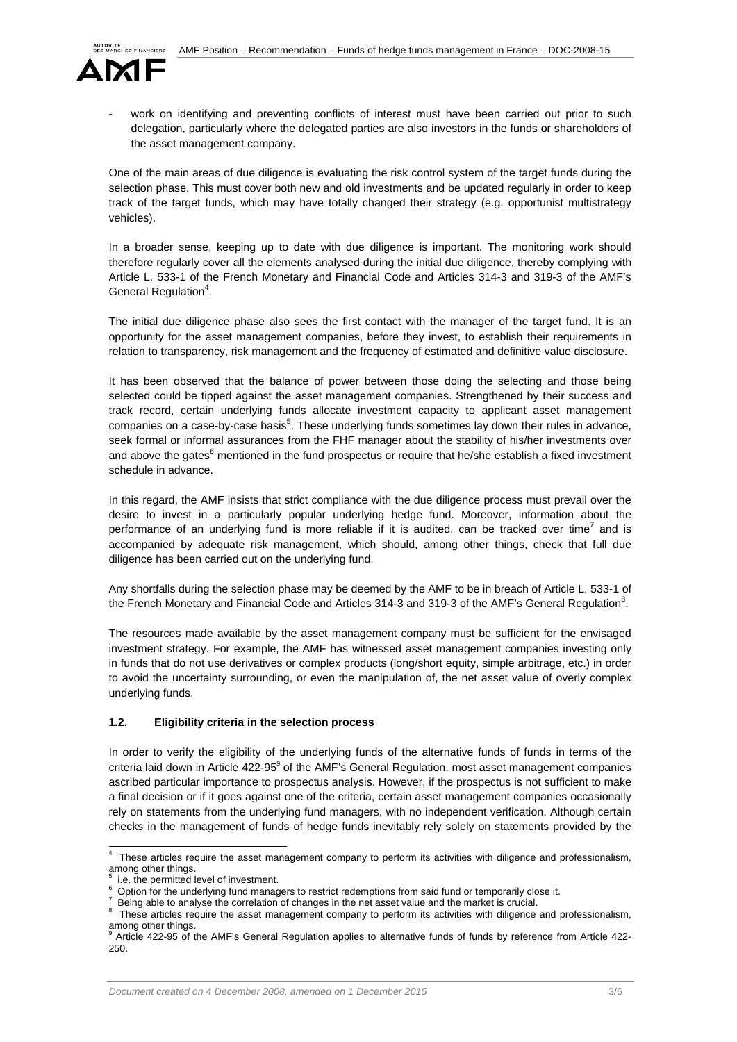

work on identifying and preventing conflicts of interest must have been carried out prior to such delegation, particularly where the delegated parties are also investors in the funds or shareholders of the asset management company.

One of the main areas of due diligence is evaluating the risk control system of the target funds during the selection phase. This must cover both new and old investments and be updated regularly in order to keep track of the target funds, which may have totally changed their strategy (e.g. opportunist multistrategy vehicles).

In a broader sense, keeping up to date with due diligence is important. The monitoring work should therefore regularly cover all the elements analysed during the initial due diligence, thereby complying with Article L. 533-1 of the French Monetary and Financial Code and Articles 314-3 and 319-3 of the AMF's General Regulation<sup>4</sup>.

The initial due diligence phase also sees the first contact with the manager of the target fund. It is an opportunity for the asset management companies, before they invest, to establish their requirements in relation to transparency, risk management and the frequency of estimated and definitive value disclosure.

It has been observed that the balance of power between those doing the selecting and those being selected could be tipped against the asset management companies. Strengthened by their success and track record, certain underlying funds allocate investment capacity to applicant asset management companies on a case-by-case basis<sup>5</sup>. These underlying funds sometimes lay down their rules in advance, seek formal or informal assurances from the FHF manager about the stability of his/her investments over and above the gates*<sup>6</sup>* mentioned in the fund prospectus or require that he/she establish a fixed investment schedule in advance.

In this regard, the AMF insists that strict compliance with the due diligence process must prevail over the desire to invest in a particularly popular underlying hedge fund. Moreover, information about the performance of an underlying fund is more reliable if it is audited, can be tracked over time<sup>7</sup> and is accompanied by adequate risk management, which should, among other things, check that full due diligence has been carried out on the underlying fund.

Any shortfalls during the selection phase may be deemed by the AMF to be in breach of Article L. 533-1 of the French Monetary and Financial Code and Articles 314-3 and 319-3 of the AMF's General Regulation<sup>8</sup>.

The resources made available by the asset management company must be sufficient for the envisaged investment strategy. For example, the AMF has witnessed asset management companies investing only in funds that do not use derivatives or complex products (long/short equity, simple arbitrage, etc.) in order to avoid the uncertainty surrounding, or even the manipulation of, the net asset value of overly complex underlying funds.

## **1.2. Eligibility criteria in the selection process**

In order to verify the eligibility of the underlying funds of the alternative funds of funds in terms of the criteria laid down in Article 422-95<sup>9</sup> of the AMF's General Regulation, most asset management companies ascribed particular importance to prospectus analysis. However, if the prospectus is not sufficient to make a final decision or if it goes against one of the criteria, certain asset management companies occasionally rely on statements from the underlying fund managers, with no independent verification. Although certain checks in the management of funds of hedge funds inevitably rely solely on statements provided by the

l

<sup>4</sup> These articles require the asset management company to perform its activities with diligence and professionalism, among other things.<br>
<sup>5</sup> i.e. the nermitted less

i.e. the permitted level of investment.

<sup>6</sup> Option for the underlying fund managers to restrict redemptions from said fund or temporarily close it.

Being able to analyse the correlation of changes in the net asset value and the market is crucial.

<sup>&</sup>lt;sup>8</sup> These articles require the asset management company to perform its activities with diligence and professionalism, among other things.<br><sup>9</sup> Article 422.05 of the

Article 422-95 of the AMF's General Regulation applies to alternative funds of funds by reference from Article 422- 250.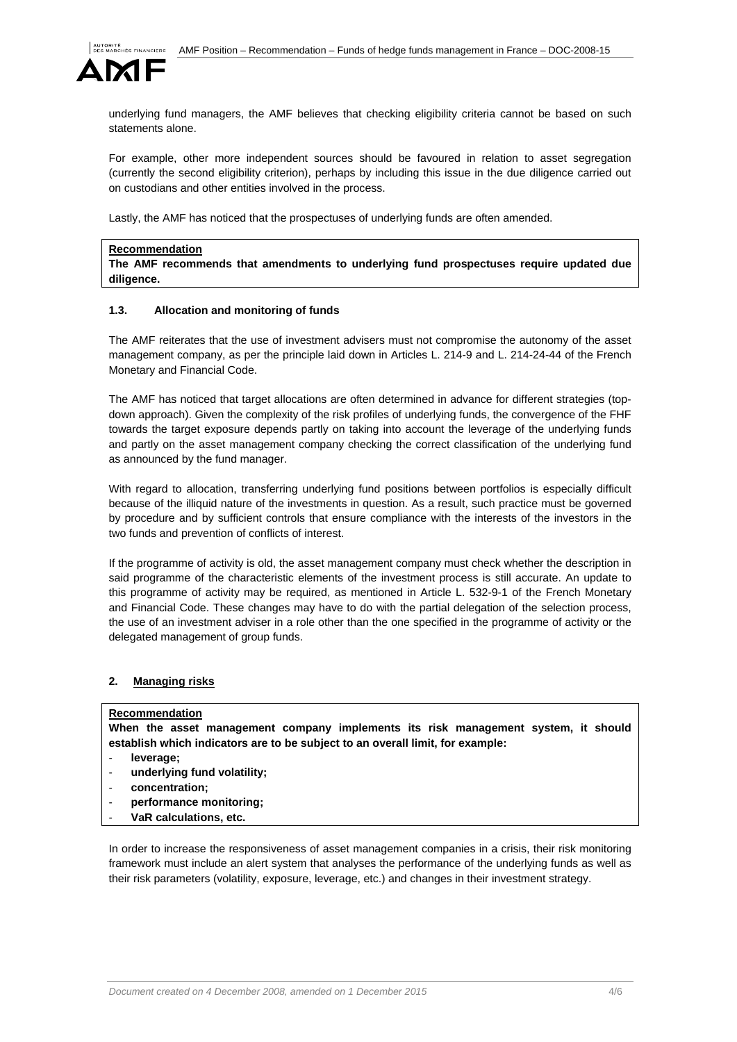

underlying fund managers, the AMF believes that checking eligibility criteria cannot be based on such statements alone.

For example, other more independent sources should be favoured in relation to asset segregation (currently the second eligibility criterion), perhaps by including this issue in the due diligence carried out on custodians and other entities involved in the process.

Lastly, the AMF has noticed that the prospectuses of underlying funds are often amended.

#### **Recommendation**

**The AMF recommends that amendments to underlying fund prospectuses require updated due diligence.** 

### **1.3. Allocation and monitoring of funds**

The AMF reiterates that the use of investment advisers must not compromise the autonomy of the asset management company, as per the principle laid down in Articles L. 214-9 and L. 214-24-44 of the French Monetary and Financial Code.

The AMF has noticed that target allocations are often determined in advance for different strategies (topdown approach). Given the complexity of the risk profiles of underlying funds, the convergence of the FHF towards the target exposure depends partly on taking into account the leverage of the underlying funds and partly on the asset management company checking the correct classification of the underlying fund as announced by the fund manager.

With regard to allocation, transferring underlying fund positions between portfolios is especially difficult because of the illiquid nature of the investments in question. As a result, such practice must be governed by procedure and by sufficient controls that ensure compliance with the interests of the investors in the two funds and prevention of conflicts of interest.

If the programme of activity is old, the asset management company must check whether the description in said programme of the characteristic elements of the investment process is still accurate. An update to this programme of activity may be required, as mentioned in Article L. 532-9-1 of the French Monetary and Financial Code. These changes may have to do with the partial delegation of the selection process, the use of an investment adviser in a role other than the one specified in the programme of activity or the delegated management of group funds.

### **2. Managing risks**

### **Recommendation**

**When the asset management company implements its risk management system, it should establish which indicators are to be subject to an overall limit, for example:** 

- **leverage;**
- **underlying fund volatility;**
- **concentration;**
- **performance monitoring;**
- **VaR calculations, etc.**

In order to increase the responsiveness of asset management companies in a crisis, their risk monitoring framework must include an alert system that analyses the performance of the underlying funds as well as their risk parameters (volatility, exposure, leverage, etc.) and changes in their investment strategy.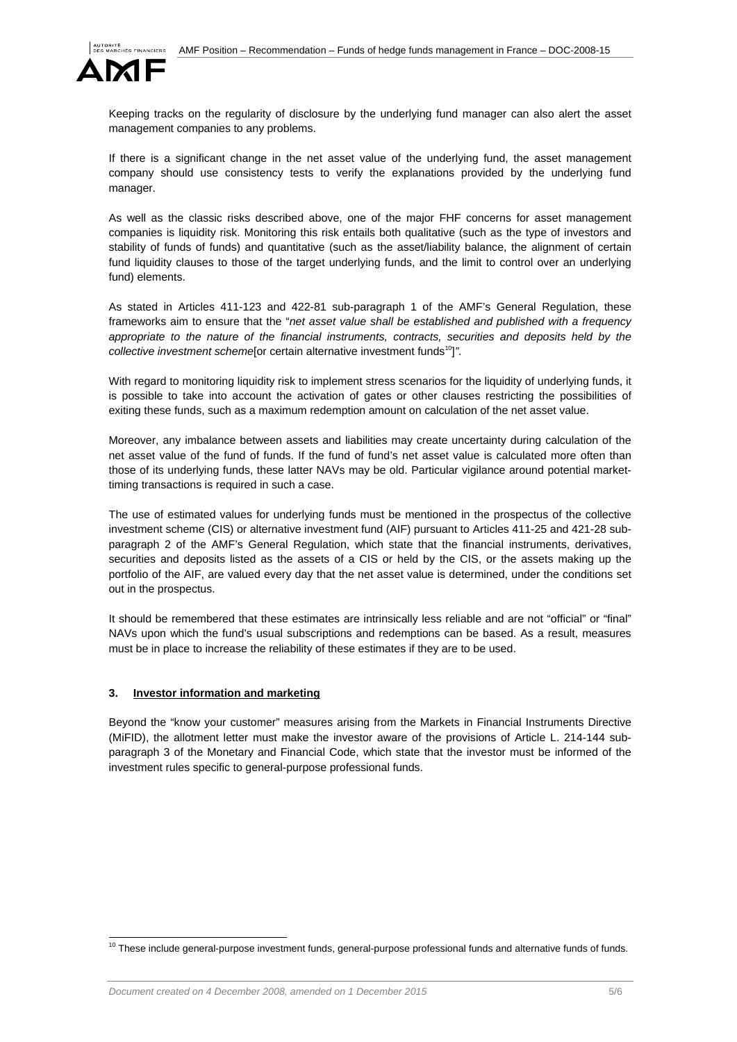

Keeping tracks on the regularity of disclosure by the underlying fund manager can also alert the asset management companies to any problems.

If there is a significant change in the net asset value of the underlying fund, the asset management company should use consistency tests to verify the explanations provided by the underlying fund manager.

As well as the classic risks described above, one of the major FHF concerns for asset management companies is liquidity risk. Monitoring this risk entails both qualitative (such as the type of investors and stability of funds of funds) and quantitative (such as the asset/liability balance, the alignment of certain fund liquidity clauses to those of the target underlying funds, and the limit to control over an underlying fund) elements.

As stated in Articles 411-123 and 422-81 sub-paragraph 1 of the AMF's General Regulation, these frameworks aim to ensure that the "*net asset value shall be established and published with a frequency*  appropriate to the nature of the financial instruments, contracts, securities and deposits held by the *collective investment scheme*[or certain alternative investment funds<sup>10</sup>]".

With regard to monitoring liquidity risk to implement stress scenarios for the liquidity of underlying funds, it is possible to take into account the activation of gates or other clauses restricting the possibilities of exiting these funds, such as a maximum redemption amount on calculation of the net asset value.

Moreover, any imbalance between assets and liabilities may create uncertainty during calculation of the net asset value of the fund of funds. If the fund of fund's net asset value is calculated more often than those of its underlying funds, these latter NAVs may be old. Particular vigilance around potential markettiming transactions is required in such a case.

The use of estimated values for underlying funds must be mentioned in the prospectus of the collective investment scheme (CIS) or alternative investment fund (AIF) pursuant to Articles 411-25 and 421-28 subparagraph 2 of the AMF's General Regulation, which state that the financial instruments, derivatives, securities and deposits listed as the assets of a CIS or held by the CIS, or the assets making up the portfolio of the AIF, are valued every day that the net asset value is determined, under the conditions set out in the prospectus.

It should be remembered that these estimates are intrinsically less reliable and are not "official" or "final" NAVs upon which the fund's usual subscriptions and redemptions can be based. As a result, measures must be in place to increase the reliability of these estimates if they are to be used.

## **3. Investor information and marketing**

 $\overline{a}$ 

Beyond the "know your customer" measures arising from the Markets in Financial Instruments Directive (MiFID), the allotment letter must make the investor aware of the provisions of Article L. 214-144 subparagraph 3 of the Monetary and Financial Code, which state that the investor must be informed of the investment rules specific to general-purpose professional funds.

 $10$  These include general-purpose investment funds, general-purpose professional funds and alternative funds of funds.